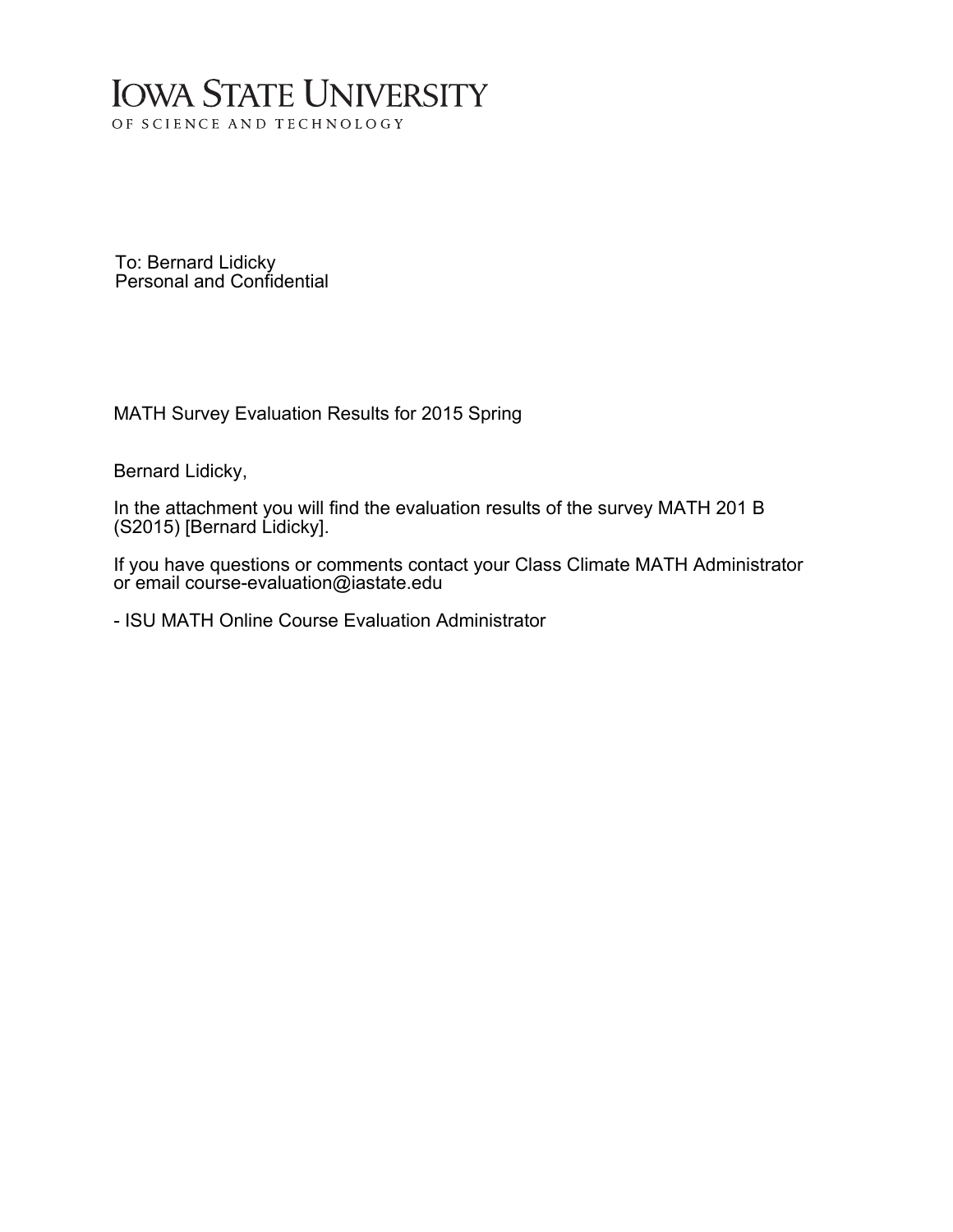## **IOWA STATE UNIVERSITY** OF SCIENCE AND TECHNOLOGY

To: Bernard Lidicky Personal and Confidential

MATH Survey Evaluation Results for 2015 Spring

Bernard Lidicky,

In the attachment you will find the evaluation results of the survey MATH 201 B (S2015) [Bernard Lidicky].

If you have questions or comments contact your Class Climate MATH Administrator or email course-evaluation@iastate.edu

- ISU MATH Online Course Evaluation Administrator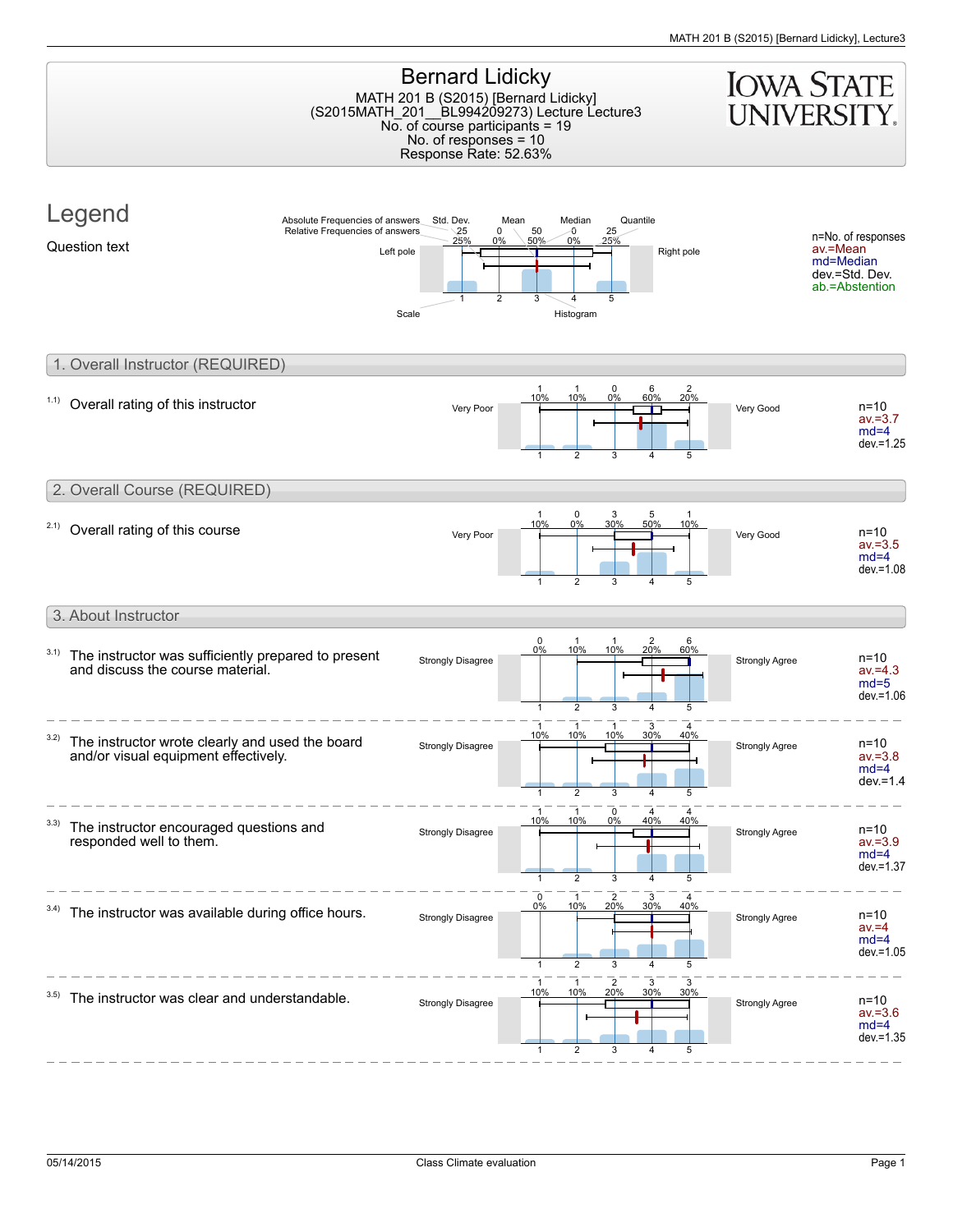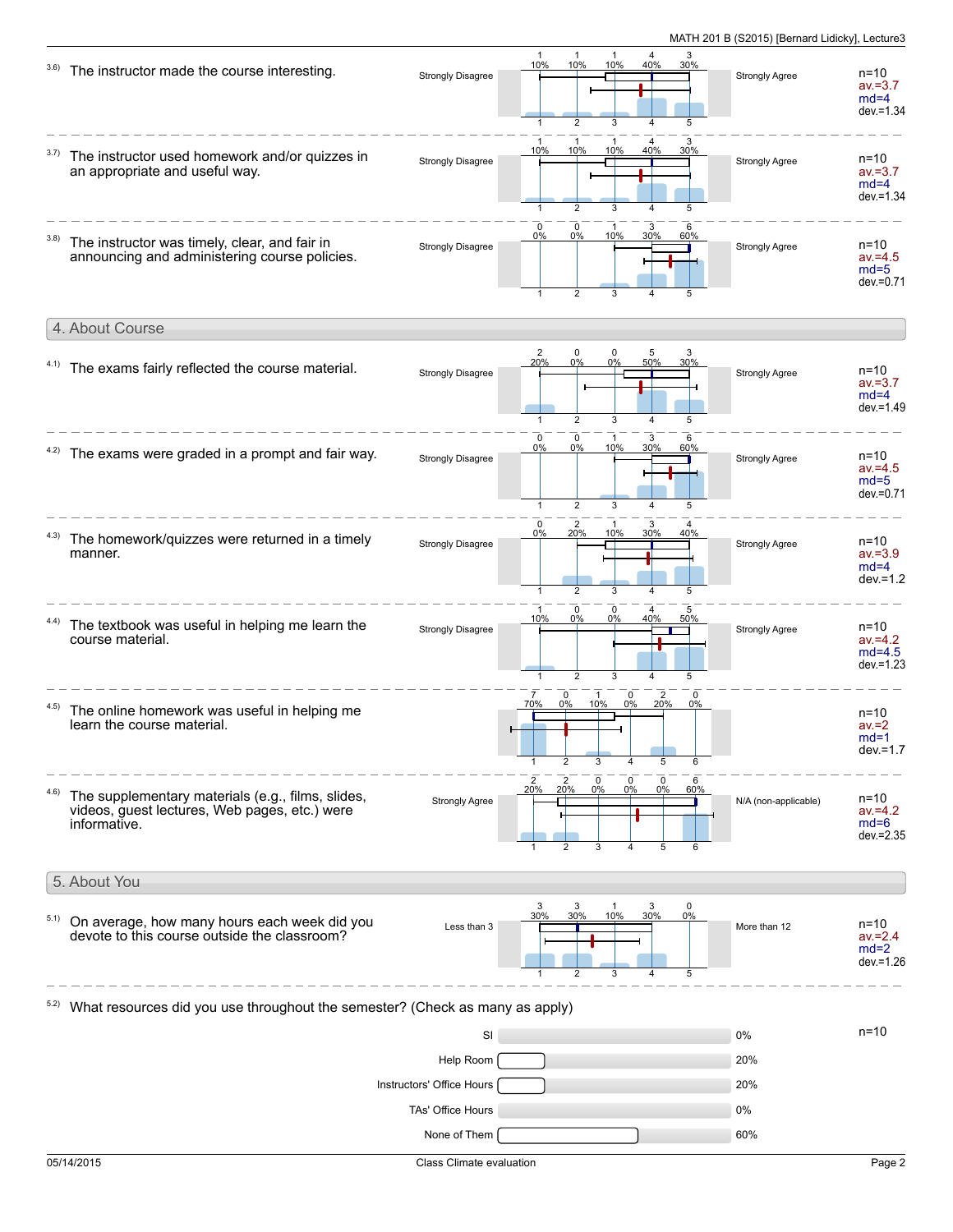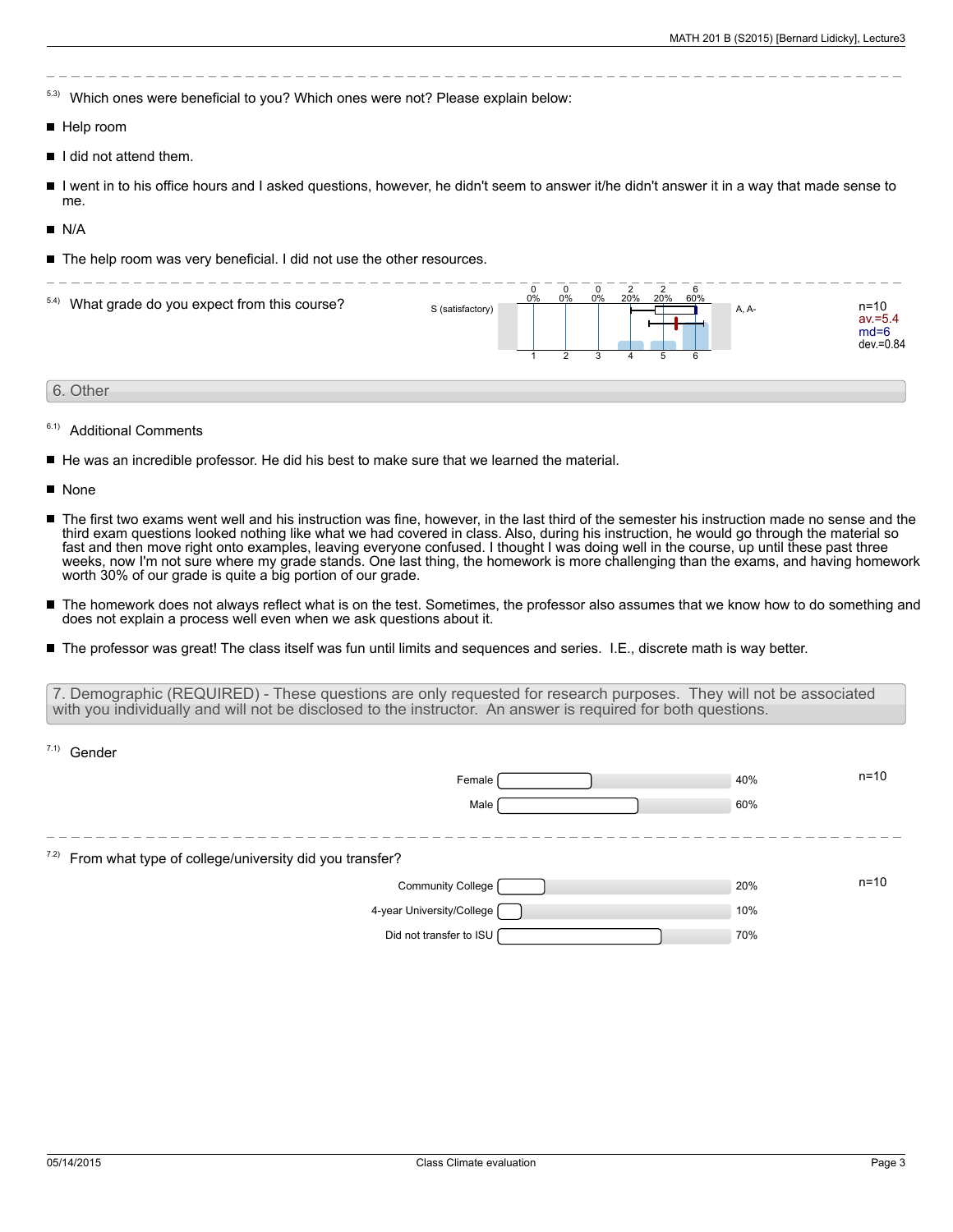5.3) Which ones were beneficial to you? Which ones were not? Please explain below:

- Help room
- $\blacksquare$  I did not attend them.
- I went in to his office hours and I asked questions, however, he didn't seem to answer it/he didn't answer it in a way that made sense to П me.
- $N/A$
- The help room was very beneficial. I did not use the other resources.



- 6.1) Additional Comments
- He was an incredible professor. He did his best to make sure that we learned the material.
- **None**
- The first two exams went well and his instruction was fine, however, in the last third of the semester his instruction made no sense and the third exam questions looked nothing like what we had covered in class. Also, during his instruction, he would go through the material so fast and then move right onto examples, leaving everyone confused. I thought I was doing well in the course, up until these past three weeks, now I'm not sure where my grade stands. One last thing, the homework is more challenging than the exams, and having homework worth 30% of our grade is quite a big portion of our grade.
- $\blacksquare$ The homework does not always reflect what is on the test. Sometimes, the professor also assumes that we know how to do something and does not explain a process well even when we ask questions about it.
- The professor was great! The class itself was fun until limits and sequences and series. I.E., discrete math is way better.

7. Demographic (REQUIRED) - These questions are only requested for research purposes. They will not be associated with you individually and will not be disclosed to the instructor. An answer is required for both questions.

| $7.1)$ Gender                                                          |     |          |
|------------------------------------------------------------------------|-----|----------|
| Female                                                                 | 40% | $n = 10$ |
| Male                                                                   | 60% |          |
|                                                                        |     |          |
| <sup>7.2)</sup> From what type of college/university did you transfer? |     |          |
| Community College                                                      | 20% | $n = 10$ |
| 4-year University/College [                                            | 10% |          |
| Did not transfer to ISU                                                | 70% |          |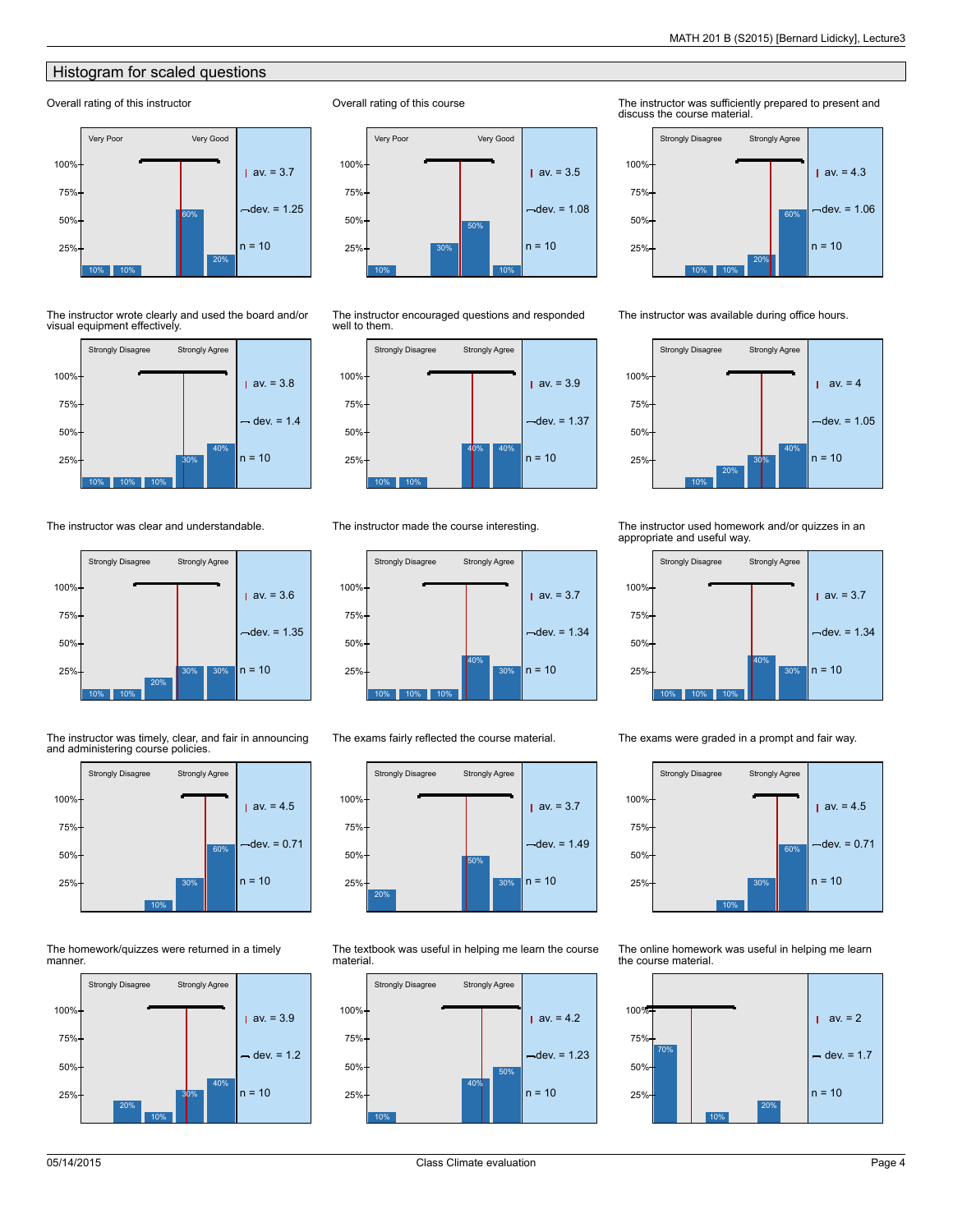## Histogram for scaled questions

## Overall rating of this instructor



The instructor wrote clearly and used the board and/or visual equipment effectively.



The instructor was clear and understandable.



The instructor was timely, clear, and fair in announcing and administering course policies.



The homework/quizzes were returned in a timely manner.





Overall rating of this course

The instructor encouraged questions and responded well to them.



The instructor made the course interesting.



The exams fairly reflected the course material.



The textbook was useful in helping me learn the course material.



The instructor was sufficiently prepared to present and discuss the course material.



The instructor was available during office hours.



The instructor used homework and/or quizzes in an appropriate and useful way.



The exams were graded in a prompt and fair way.

10% 30% 60% Strongly Disagree Strongly Agree  $av. = 4.5$  $dev = 0.71$  $25\% +$   $30\%$  n = 10 50% 75% 100%

The online homework was useful in helping me learn the course material.

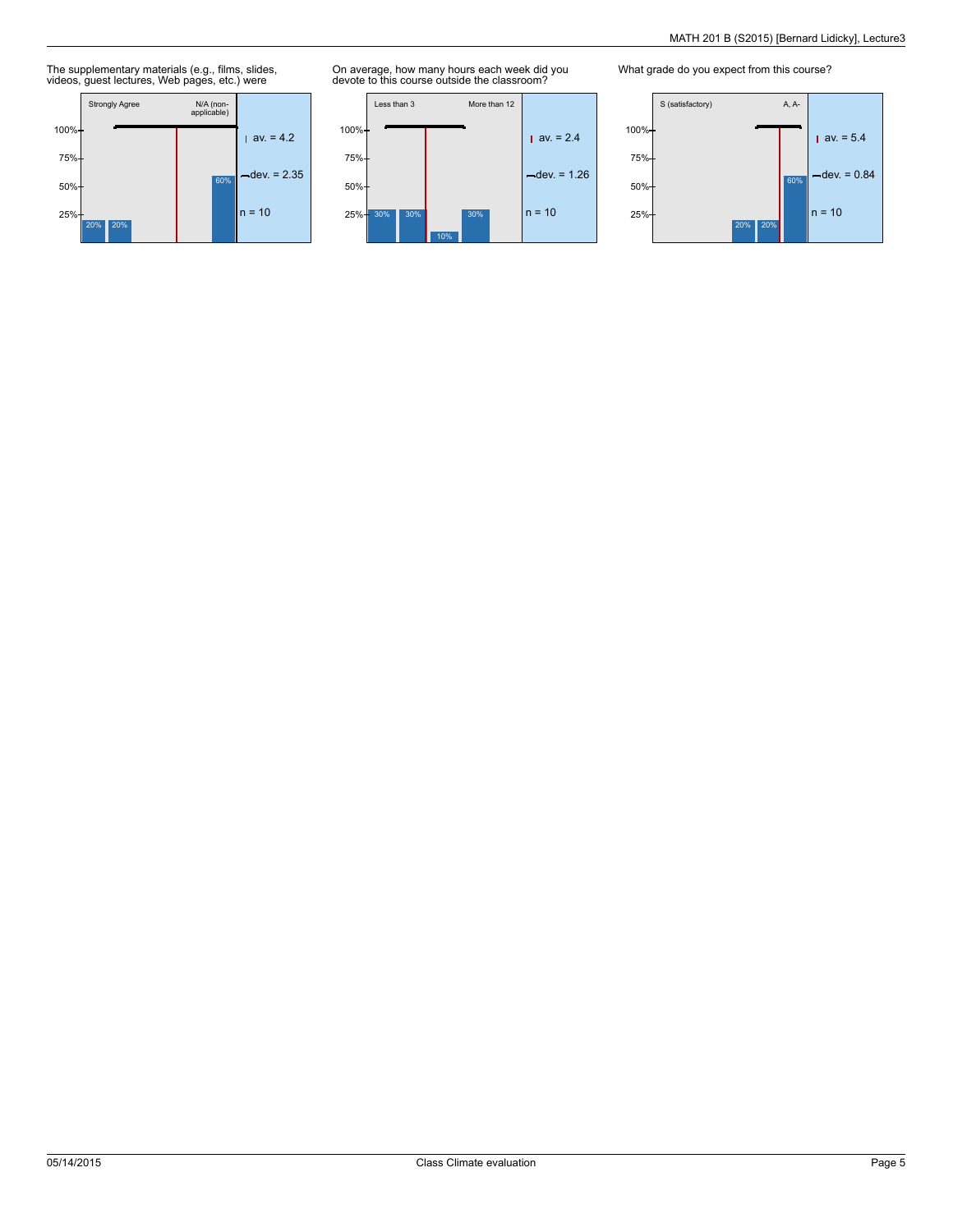The supplementary materials (e.g., films, slides, videos, guest lectures, Web pages, etc.) were



On average, how many hours each week did you devote to this course outside the classroom?



What grade do you expect from this course?

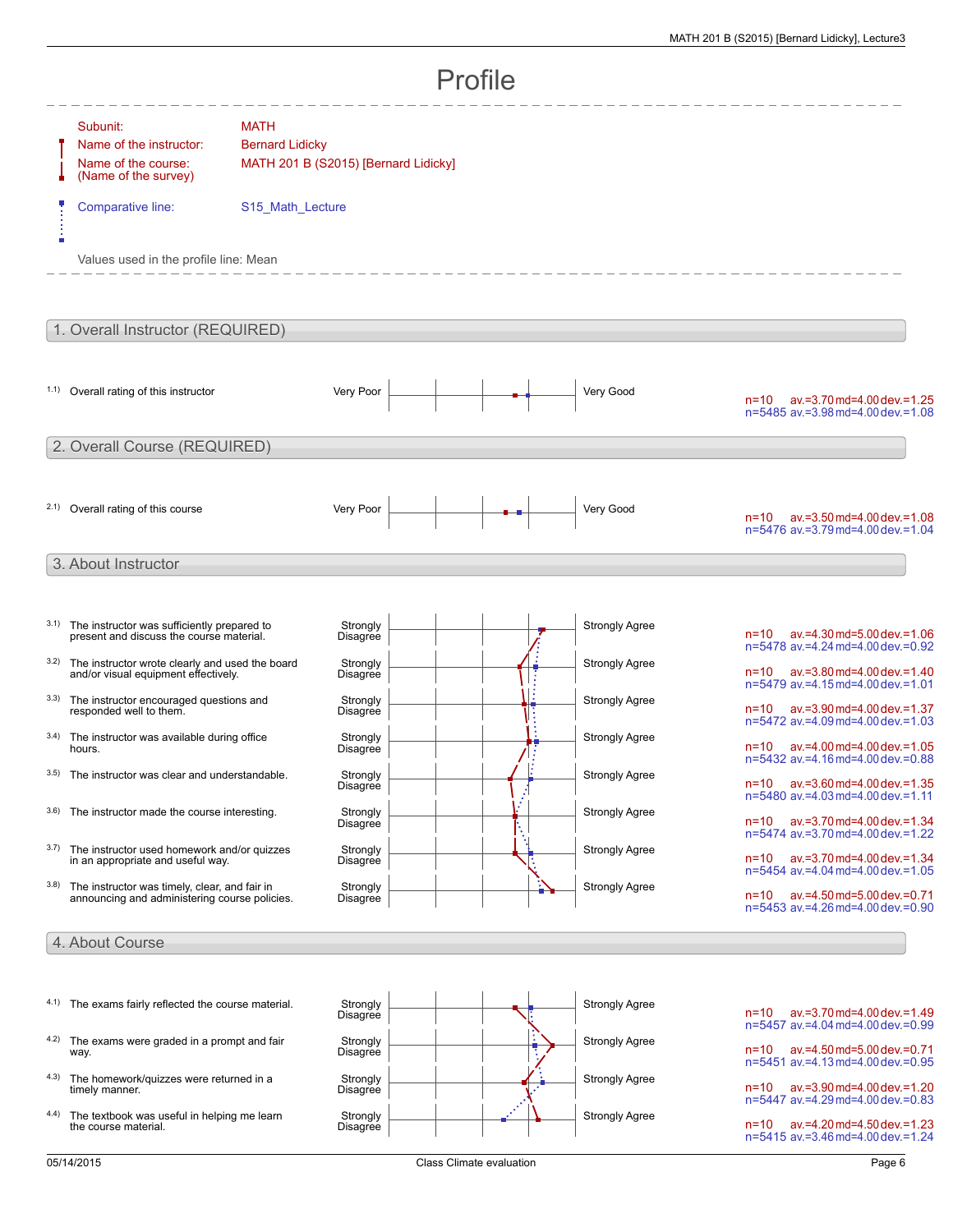| Profile |                                                                                                |                                       |                                      |  |  |  |                       |                                                                                                                  |  |  |  |
|---------|------------------------------------------------------------------------------------------------|---------------------------------------|--------------------------------------|--|--|--|-----------------------|------------------------------------------------------------------------------------------------------------------|--|--|--|
|         | Subunit:<br>Name of the instructor:<br>Name of the course:<br>(Name of the survey)             | <b>MATH</b><br><b>Bernard Lidicky</b> | MATH 201 B (S2015) [Bernard Lidicky] |  |  |  |                       |                                                                                                                  |  |  |  |
|         | Comparative line:                                                                              | S15_Math_Lecture                      |                                      |  |  |  |                       |                                                                                                                  |  |  |  |
|         | Values used in the profile line: Mean                                                          |                                       |                                      |  |  |  |                       |                                                                                                                  |  |  |  |
|         | 1. Overall Instructor (REQUIRED)                                                               |                                       |                                      |  |  |  |                       |                                                                                                                  |  |  |  |
|         | 1.1) Overall rating of this instructor                                                         |                                       | Very Poor                            |  |  |  | Very Good             | $n=10$ av. = 3.70 md=4.00 dev. = 1.25<br>n=5485 av.=3.98 md=4.00 dev.=1.08                                       |  |  |  |
|         | 2. Overall Course (REQUIRED)                                                                   |                                       |                                      |  |  |  |                       |                                                                                                                  |  |  |  |
|         | 2.1) Overall rating of this course                                                             |                                       | Very Poor                            |  |  |  | Very Good             | ay.=3.50 md=4.00 dev.=1.08<br>$n = 10$<br>n=5476 av.=3.79 md=4.00 dev.=1.04                                      |  |  |  |
|         | 3. About Instructor                                                                            |                                       |                                      |  |  |  |                       |                                                                                                                  |  |  |  |
| 3.1)    | The instructor was sufficiently prepared to<br>present and discuss the course material.        |                                       | Strongly<br>Disagree                 |  |  |  | <b>Strongly Agree</b> | $n=10$ av. = 4.30 md=5.00 dev. = 1.06<br>n=5478 av.=4.24 md=4.00 dev.=0.92                                       |  |  |  |
| 3.2)    | The instructor wrote clearly and used the board<br>and/or visual equipment effectively.        |                                       | Strongly<br>Disagree                 |  |  |  | <b>Strongly Agree</b> | n=10 av.=3.80 md=4.00 dev.=1.40<br>n=5479 av.=4.15 md=4.00 dev.=1.01                                             |  |  |  |
| 3.3)    | The instructor encouraged questions and<br>responded well to them.                             |                                       | Strongly<br>Disagree                 |  |  |  | <b>Strongly Agree</b> | n=10 av.=3.90 md=4.00 dev.=1.37<br>n=5472 av.=4.09 md=4.00 dev.=1.03                                             |  |  |  |
| 3.4)    | The instructor was available during office<br>hours.                                           |                                       | Strongly<br>Disagree                 |  |  |  | <b>Strongly Agree</b> | n=10 av.=4.00 md=4.00 dev.=1.05<br>n=5432 av.=4.16 md=4.00 dev.=0.88                                             |  |  |  |
| 3.5)    | The instructor was clear and understandable.                                                   |                                       | Strongly<br>Disagree                 |  |  |  | <b>Strongly Agree</b> | $av = 3.60$ md=4.00 dev. = 1.35<br>$n = 10$<br>n=5480 av.=4.03 md=4.00 dev.=1.11                                 |  |  |  |
| 3.6)    | The instructor made the course interesting.                                                    |                                       | Strongly<br>Disagree                 |  |  |  | <b>Strongly Agree</b> | av.=3.70 md=4.00 dev.=1.34<br>$n = 10$<br>n=5474 av.=3.70 md=4.00 dev.=1.22                                      |  |  |  |
| 3.7)    | The instructor used homework and/or quizzes<br>in an appropriate and useful way.               |                                       | Strongly<br>Disagree                 |  |  |  | <b>Strongly Agree</b> | av.=3.70 md=4.00 dev.=1.34<br>$n = 10$<br>n=5454 av.=4.04 md=4.00 dev.=1.05                                      |  |  |  |
| 3.8)    | The instructor was timely, clear, and fair in<br>announcing and administering course policies. |                                       | Strongly<br>Disagree                 |  |  |  | <b>Strongly Agree</b> | av.=4.50 md=5.00 dev.=0.71<br>$n = 10$<br>n=5453 av.=4.26 md=4.00 dev.=0.90                                      |  |  |  |
|         | 4. About Course                                                                                |                                       |                                      |  |  |  |                       |                                                                                                                  |  |  |  |
|         | 4.1) The exams fairly reflected the course material.                                           |                                       | Strongly<br>Disagree                 |  |  |  | <b>Strongly Agree</b> | av.=3.70 md=4.00 dev.=1.49<br>n=10                                                                               |  |  |  |
| 4.2)    | The exams were graded in a prompt and fair<br>way.                                             |                                       | Strongly<br>Disagree                 |  |  |  | <b>Strongly Agree</b> | n=5457 av.=4.04 md=4.00 dev.=0.99<br>av.=4.50 md=5.00 dev.=0.71<br>$n = 10$<br>n=5451 av.=4.13 md=4.00 dev.=0.95 |  |  |  |
| 4.3)    | The homework/quizzes were returned in a<br>timely manner.                                      |                                       | Strongly<br>Disagree                 |  |  |  | <b>Strongly Agree</b> | av.=3.90 md=4.00 dev.=1.20<br>$n = 10$<br>n=5447 av.=4.29 md=4.00 dev.=0.83                                      |  |  |  |
| 4.4)    | The textbook was useful in helping me learn<br>the course material.                            |                                       | Strongly<br>Disagree                 |  |  |  | <b>Strongly Agree</b> | av.=4.20 md=4.50 dev.=1.23<br>$n = 10$                                                                           |  |  |  |